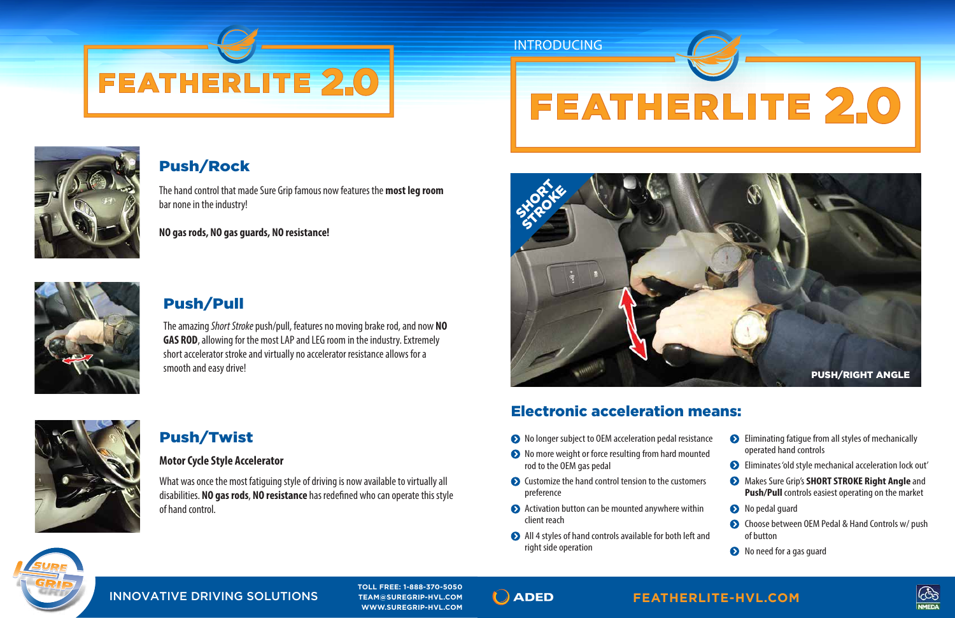# Push/Pull

The amazing *Short Stroke* push/pull, features no moving brake rod, and now **NO GAS ROD**, allowing for the most LAP and LEG room in the industry. Extremely short accelerator stroke and virtually no accelerator resistance allows for a smooth and easy drive!



# **FEATHERLITE 2.0**



# Push/Rock

**TOLL FREE: 1-888-370-5050 TOLL FREE: 1-888-370-5050 TEAM@SUREGRIP-HVL.COM WWW.SUREGRIP-HVL.COM**







The hand control that made Sure Grip famous now features the **most leg room**  bar none in the industry!

## **WWW.SUREGRIP-HVL.COM** INNOVATIVE DRIVING SOLUTIONS INNOVATIVE DRIVING SOLUTIONS

**NO gas rods, NO gas guards, NO resistance!**



# Push/Twist

#### **Motor Cycle Style Accelerator**

What was once the most fatiguing style of driving is now available to virtually all disabilities. **NO gas rods**, **NO resistance** has redened who can operate this style of hand control.

- $\bullet$  No longer subject to OEM acceleration pedal resistance
- $\bullet$  No more weight or force resulting from hard mounted rod to the OEM gas pedal
- $\bullet$  Customize the hand control tension to the customers preference
- ◆ Activation button can be mounted anywhere within client reach
- $\bigodot$  All 4 styles of hand controls available for both left and right side operation



| nce<br>ed | Eliminating fatique from all styles of mechanically<br>operated hand controls                                      |
|-----------|--------------------------------------------------------------------------------------------------------------------|
|           | Eliminates 'old style mechanical acceleration lock out'                                                            |
| 'S        | Makes Sure Grip's <b>SHORT STROKE Right Angle</b> and<br><b>Push/Pull</b> controls easiest operating on the market |
|           | S No pedal quard                                                                                                   |
| nd        | • Choose between OEM Pedal & Hand Controls w/ push<br>of button                                                    |
|           | No nood for a gac quard                                                                                            |

 $\bullet$  No need for a gas guard

# Electronic acceleration means:



*INTRODUCING*

#### **FEATHERLITE-HVL.COM**